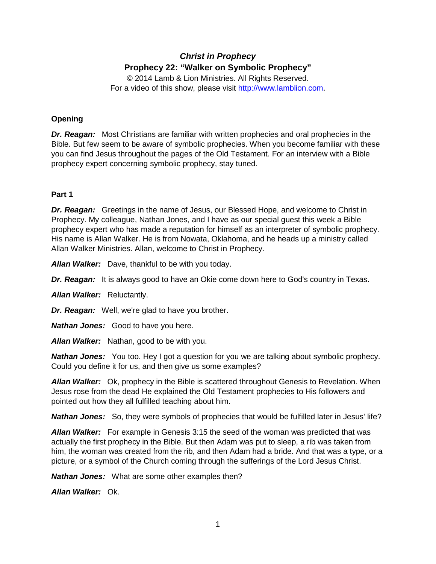# *Christ in Prophecy* **Prophecy 22: "Walker on Symbolic Prophecy"**

© 2014 Lamb & Lion Ministries. All Rights Reserved. For a video of this show, please visit [http://www.lamblion.com.](http://www.lamblion.com/)

# **Opening**

*Dr. Reagan:* Most Christians are familiar with written prophecies and oral prophecies in the Bible. But few seem to be aware of symbolic prophecies. When you become familiar with these you can find Jesus throughout the pages of the Old Testament. For an interview with a Bible prophecy expert concerning symbolic prophecy, stay tuned.

### **Part 1**

*Dr. Reagan:* Greetings in the name of Jesus, our Blessed Hope, and welcome to Christ in Prophecy. My colleague, Nathan Jones, and I have as our special guest this week a Bible prophecy expert who has made a reputation for himself as an interpreter of symbolic prophecy. His name is Allan Walker. He is from Nowata, Oklahoma, and he heads up a ministry called Allan Walker Ministries. Allan, welcome to Christ in Prophecy.

*Allan Walker:* Dave, thankful to be with you today.

*Dr. Reagan:* It is always good to have an Okie come down here to God's country in Texas.

*Allan Walker:* Reluctantly.

*Dr. Reagan:* Well, we're glad to have you brother.

*Nathan Jones:* Good to have you here.

*Allan Walker:* Nathan, good to be with you.

**Nathan Jones:** You too. Hey I got a question for you we are talking about symbolic prophecy. Could you define it for us, and then give us some examples?

*Allan Walker:* Ok, prophecy in the Bible is scattered throughout Genesis to Revelation. When Jesus rose from the dead He explained the Old Testament prophecies to His followers and pointed out how they all fulfilled teaching about him.

**Nathan Jones:** So, they were symbols of prophecies that would be fulfilled later in Jesus' life?

*Allan Walker:* For example in Genesis 3:15 the seed of the woman was predicted that was actually the first prophecy in the Bible. But then Adam was put to sleep, a rib was taken from him, the woman was created from the rib, and then Adam had a bride. And that was a type, or a picture, or a symbol of the Church coming through the sufferings of the Lord Jesus Christ.

*Nathan Jones:* What are some other examples then?

*Allan Walker:* Ok.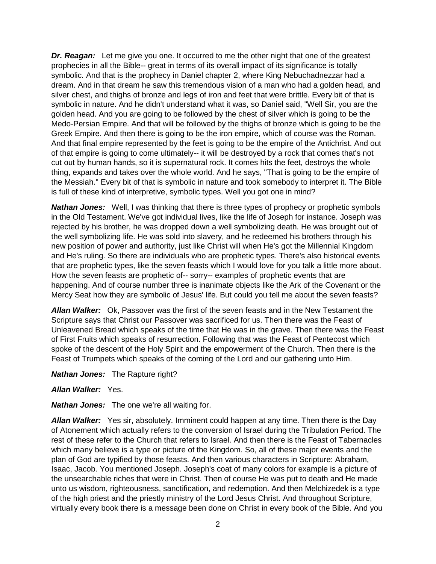*Dr. Reagan:* Let me give you one. It occurred to me the other night that one of the greatest prophecies in all the Bible-- great in terms of its overall impact of its significance is totally symbolic. And that is the prophecy in Daniel chapter 2, where King Nebuchadnezzar had a dream. And in that dream he saw this tremendous vision of a man who had a golden head, and silver chest, and thighs of bronze and legs of iron and feet that were brittle. Every bit of that is symbolic in nature. And he didn't understand what it was, so Daniel said, "Well Sir, you are the golden head. And you are going to be followed by the chest of silver which is going to be the Medo-Persian Empire. And that will be followed by the thighs of bronze which is going to be the Greek Empire. And then there is going to be the iron empire, which of course was the Roman. And that final empire represented by the feet is going to be the empire of the Antichrist. And out of that empire is going to come ultimately-- it will be destroyed by a rock that comes that's not cut out by human hands, so it is supernatural rock. It comes hits the feet, destroys the whole thing, expands and takes over the whole world. And he says, "That is going to be the empire of the Messiah." Every bit of that is symbolic in nature and took somebody to interpret it. The Bible is full of these kind of interpretive, symbolic types. Well you got one in mind?

**Nathan Jones:** Well, I was thinking that there is three types of prophecy or prophetic symbols in the Old Testament. We've got individual lives, like the life of Joseph for instance. Joseph was rejected by his brother, he was dropped down a well symbolizing death. He was brought out of the well symbolizing life. He was sold into slavery, and he redeemed his brothers through his new position of power and authority, just like Christ will when He's got the Millennial Kingdom and He's ruling. So there are individuals who are prophetic types. There's also historical events that are prophetic types, like the seven feasts which I would love for you talk a little more about. How the seven feasts are prophetic of-- sorry-- examples of prophetic events that are happening. And of course number three is inanimate objects like the Ark of the Covenant or the Mercy Seat how they are symbolic of Jesus' life. But could you tell me about the seven feasts?

*Allan Walker:* Ok, Passover was the first of the seven feasts and in the New Testament the Scripture says that Christ our Passover was sacrificed for us. Then there was the Feast of Unleavened Bread which speaks of the time that He was in the grave. Then there was the Feast of First Fruits which speaks of resurrection. Following that was the Feast of Pentecost which spoke of the descent of the Holy Spirit and the empowerment of the Church. Then there is the Feast of Trumpets which speaks of the coming of the Lord and our gathering unto Him.

*Nathan Jones:* The Rapture right?

*Allan Walker:* Yes.

*Nathan Jones:* The one we're all waiting for.

*Allan Walker:* Yes sir, absolutely. Imminent could happen at any time. Then there is the Day of Atonement which actually refers to the conversion of Israel during the Tribulation Period. The rest of these refer to the Church that refers to Israel. And then there is the Feast of Tabernacles which many believe is a type or picture of the Kingdom. So, all of these major events and the plan of God are typified by those feasts. And then various characters in Scripture: Abraham, Isaac, Jacob. You mentioned Joseph. Joseph's coat of many colors for example is a picture of the unsearchable riches that were in Christ. Then of course He was put to death and He made unto us wisdom, righteousness, sanctification, and redemption. And then Melchizedek is a type of the high priest and the priestly ministry of the Lord Jesus Christ. And throughout Scripture, virtually every book there is a message been done on Christ in every book of the Bible. And you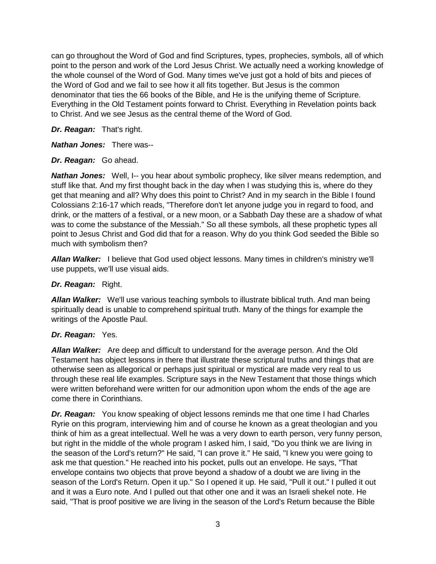can go throughout the Word of God and find Scriptures, types, prophecies, symbols, all of which point to the person and work of the Lord Jesus Christ. We actually need a working knowledge of the whole counsel of the Word of God. Many times we've just got a hold of bits and pieces of the Word of God and we fail to see how it all fits together. But Jesus is the common denominator that ties the 66 books of the Bible, and He is the unifying theme of Scripture. Everything in the Old Testament points forward to Christ. Everything in Revelation points back to Christ. And we see Jesus as the central theme of the Word of God.

### *Dr. Reagan:* That's right.

*Nathan Jones:* There was--

### *Dr. Reagan:* Go ahead.

**Nathan Jones:** Well, I-- you hear about symbolic prophecy, like silver means redemption, and stuff like that. And my first thought back in the day when I was studying this is, where do they get that meaning and all? Why does this point to Christ? And in my search in the Bible I found Colossians 2:16-17 which reads, "Therefore don't let anyone judge you in regard to food, and drink, or the matters of a festival, or a new moon, or a Sabbath Day these are a shadow of what was to come the substance of the Messiah." So all these symbols, all these prophetic types all point to Jesus Christ and God did that for a reason. Why do you think God seeded the Bible so much with symbolism then?

*Allan Walker:* I believe that God used object lessons. Many times in children's ministry we'll use puppets, we'll use visual aids.

### *Dr. Reagan:* Right.

*Allan Walker:* We'll use various teaching symbols to illustrate biblical truth. And man being spiritually dead is unable to comprehend spiritual truth. Many of the things for example the writings of the Apostle Paul.

# *Dr. Reagan:* Yes.

*Allan Walker:* Are deep and difficult to understand for the average person. And the Old Testament has object lessons in there that illustrate these scriptural truths and things that are otherwise seen as allegorical or perhaps just spiritual or mystical are made very real to us through these real life examples. Scripture says in the New Testament that those things which were written beforehand were written for our admonition upon whom the ends of the age are come there in Corinthians.

*Dr. Reagan:* You know speaking of object lessons reminds me that one time I had Charles Ryrie on this program, interviewing him and of course he known as a great theologian and you think of him as a great intellectual. Well he was a very down to earth person, very funny person, but right in the middle of the whole program I asked him, I said, "Do you think we are living in the season of the Lord's return?" He said, "I can prove it." He said, "I knew you were going to ask me that question." He reached into his pocket, pulls out an envelope. He says, "That envelope contains two objects that prove beyond a shadow of a doubt we are living in the season of the Lord's Return. Open it up." So I opened it up. He said, "Pull it out." I pulled it out and it was a Euro note. And I pulled out that other one and it was an Israeli shekel note. He said, "That is proof positive we are living in the season of the Lord's Return because the Bible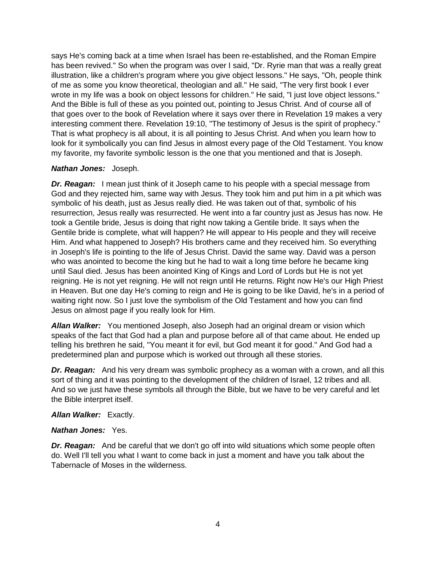says He's coming back at a time when Israel has been re-established, and the Roman Empire has been revived." So when the program was over I said, "Dr. Ryrie man that was a really great illustration, like a children's program where you give object lessons." He says, "Oh, people think of me as some you know theoretical, theologian and all." He said, "The very first book I ever wrote in my life was a book on object lessons for children." He said, "I just love object lessons." And the Bible is full of these as you pointed out, pointing to Jesus Christ. And of course all of that goes over to the book of Revelation where it says over there in Revelation 19 makes a very interesting comment there. Revelation 19:10, "The testimony of Jesus is the spirit of prophecy." That is what prophecy is all about, it is all pointing to Jesus Christ. And when you learn how to look for it symbolically you can find Jesus in almost every page of the Old Testament. You know my favorite, my favorite symbolic lesson is the one that you mentioned and that is Joseph.

### *Nathan Jones:* Joseph.

**Dr. Reagan:** I mean just think of it Joseph came to his people with a special message from God and they rejected him, same way with Jesus. They took him and put him in a pit which was symbolic of his death, just as Jesus really died. He was taken out of that, symbolic of his resurrection, Jesus really was resurrected. He went into a far country just as Jesus has now. He took a Gentile bride, Jesus is doing that right now taking a Gentile bride. It says when the Gentile bride is complete, what will happen? He will appear to His people and they will receive Him. And what happened to Joseph? His brothers came and they received him. So everything in Joseph's life is pointing to the life of Jesus Christ. David the same way. David was a person who was anointed to become the king but he had to wait a long time before he became king until Saul died. Jesus has been anointed King of Kings and Lord of Lords but He is not yet reigning. He is not yet reigning. He will not reign until He returns. Right now He's our High Priest in Heaven. But one day He's coming to reign and He is going to be like David, he's in a period of waiting right now. So I just love the symbolism of the Old Testament and how you can find Jesus on almost page if you really look for Him.

*Allan Walker:* You mentioned Joseph, also Joseph had an original dream or vision which speaks of the fact that God had a plan and purpose before all of that came about. He ended up telling his brethren he said, "You meant it for evil, but God meant it for good." And God had a predetermined plan and purpose which is worked out through all these stories.

*Dr. Reagan:* And his very dream was symbolic prophecy as a woman with a crown, and all this sort of thing and it was pointing to the development of the children of Israel, 12 tribes and all. And so we just have these symbols all through the Bible, but we have to be very careful and let the Bible interpret itself.

*Allan Walker:* Exactly.

### *Nathan Jones:* Yes.

**Dr. Reagan:** And be careful that we don't go off into wild situations which some people often do. Well I'll tell you what I want to come back in just a moment and have you talk about the Tabernacle of Moses in the wilderness.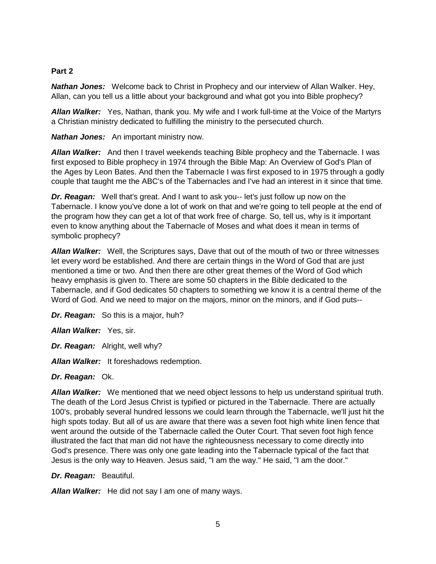### **Part 2**

*Nathan Jones:* Welcome back to Christ in Prophecy and our interview of Allan Walker. Hey, Allan, can you tell us a little about your background and what got you into Bible prophecy?

*Allan Walker:* Yes, Nathan, thank you. My wife and I work full-time at the Voice of the Martyrs a Christian ministry dedicated to fulfilling the ministry to the persecuted church.

*Nathan Jones:* An important ministry now.

*Allan Walker:* And then I travel weekends teaching Bible prophecy and the Tabernacle. I was first exposed to Bible prophecy in 1974 through the Bible Map: An Overview of God's Plan of the Ages by Leon Bates. And then the Tabernacle I was first exposed to in 1975 through a godly couple that taught me the ABC's of the Tabernacles and I've had an interest in it since that time.

*Dr. Reagan:* Well that's great. And I want to ask you-- let's just follow up now on the Tabernacle. I know you've done a lot of work on that and we're going to tell people at the end of the program how they can get a lot of that work free of charge. So, tell us, why is it important even to know anything about the Tabernacle of Moses and what does it mean in terms of symbolic prophecy?

*Allan Walker:* Well, the Scriptures says, Dave that out of the mouth of two or three witnesses let every word be established. And there are certain things in the Word of God that are just mentioned a time or two. And then there are other great themes of the Word of God which heavy emphasis is given to. There are some 50 chapters in the Bible dedicated to the Tabernacle, and if God dedicates 50 chapters to something we know it is a central theme of the Word of God. And we need to major on the majors, minor on the minors, and if God puts--

*Dr. Reagan:* So this is a major, huh?

*Allan Walker:* Yes, sir.

*Dr. Reagan:* Alright, well why?

*Allan Walker:* It foreshadows redemption.

#### *Dr. Reagan:* Ok.

*Allan Walker:* We mentioned that we need object lessons to help us understand spiritual truth. The death of the Lord Jesus Christ is typified or pictured in the Tabernacle. There are actually 100's, probably several hundred lessons we could learn through the Tabernacle, we'll just hit the high spots today. But all of us are aware that there was a seven foot high white linen fence that went around the outside of the Tabernacle called the Outer Court. That seven foot high fence illustrated the fact that man did not have the righteousness necessary to come directly into God's presence. There was only one gate leading into the Tabernacle typical of the fact that Jesus is the only way to Heaven. Jesus said, "I am the way." He said, "I am the door."

*Dr. Reagan:* Beautiful.

*Allan Walker:* He did not say I am one of many ways.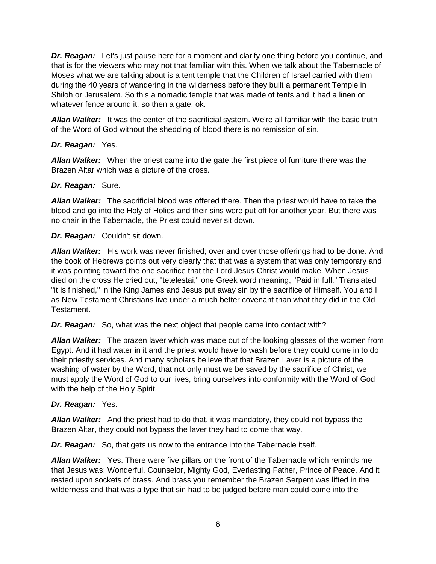*Dr. Reagan:* Let's just pause here for a moment and clarify one thing before you continue, and that is for the viewers who may not that familiar with this. When we talk about the Tabernacle of Moses what we are talking about is a tent temple that the Children of Israel carried with them during the 40 years of wandering in the wilderness before they built a permanent Temple in Shiloh or Jerusalem. So this a nomadic temple that was made of tents and it had a linen or whatever fence around it, so then a gate, ok.

*Allan Walker:* It was the center of the sacrificial system. We're all familiar with the basic truth of the Word of God without the shedding of blood there is no remission of sin.

### *Dr. Reagan:* Yes.

*Allan Walker:* When the priest came into the gate the first piece of furniture there was the Brazen Altar which was a picture of the cross.

### *Dr. Reagan:* Sure.

*Allan Walker:* The sacrificial blood was offered there. Then the priest would have to take the blood and go into the Holy of Holies and their sins were put off for another year. But there was no chair in the Tabernacle, the Priest could never sit down.

### *Dr. Reagan:* Couldn't sit down.

*Allan Walker:* His work was never finished; over and over those offerings had to be done. And the book of Hebrews points out very clearly that that was a system that was only temporary and it was pointing toward the one sacrifice that the Lord Jesus Christ would make. When Jesus died on the cross He cried out, "tetelestai," one Greek word meaning, "Paid in full." Translated "it is finished," in the King James and Jesus put away sin by the sacrifice of Himself. You and I as New Testament Christians live under a much better covenant than what they did in the Old Testament.

*Dr. Reagan:* So, what was the next object that people came into contact with?

*Allan Walker:* The brazen laver which was made out of the looking glasses of the women from Egypt. And it had water in it and the priest would have to wash before they could come in to do their priestly services. And many scholars believe that that Brazen Laver is a picture of the washing of water by the Word, that not only must we be saved by the sacrifice of Christ, we must apply the Word of God to our lives, bring ourselves into conformity with the Word of God with the help of the Holy Spirit.

### *Dr. Reagan:* Yes.

*Allan Walker:* And the priest had to do that, it was mandatory, they could not bypass the Brazen Altar, they could not bypass the laver they had to come that way.

*Dr. Reagan:* So, that gets us now to the entrance into the Tabernacle itself.

*Allan Walker:* Yes. There were five pillars on the front of the Tabernacle which reminds me that Jesus was: Wonderful, Counselor, Mighty God, Everlasting Father, Prince of Peace. And it rested upon sockets of brass. And brass you remember the Brazen Serpent was lifted in the wilderness and that was a type that sin had to be judged before man could come into the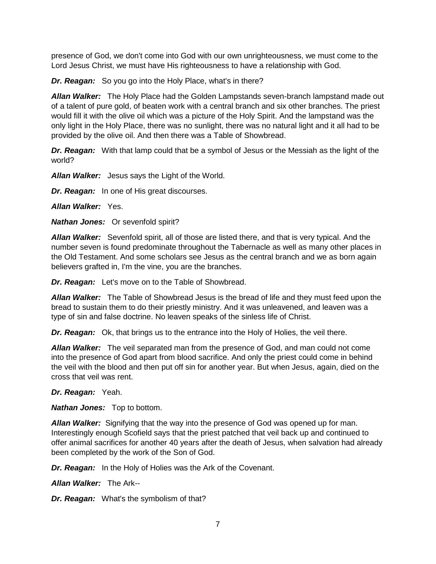presence of God, we don't come into God with our own unrighteousness, we must come to the Lord Jesus Christ, we must have His righteousness to have a relationship with God.

*Dr. Reagan:* So you go into the Holy Place, what's in there?

*Allan Walker:* The Holy Place had the Golden Lampstands seven-branch lampstand made out of a talent of pure gold, of beaten work with a central branch and six other branches. The priest would fill it with the olive oil which was a picture of the Holy Spirit. And the lampstand was the only light in the Holy Place, there was no sunlight, there was no natural light and it all had to be provided by the olive oil. And then there was a Table of Showbread.

*Dr. Reagan:* With that lamp could that be a symbol of Jesus or the Messiah as the light of the world?

*Allan Walker:* Jesus says the Light of the World.

*Dr. Reagan:* In one of His great discourses.

*Allan Walker:* Yes.

*Nathan Jones:* Or sevenfold spirit?

*Allan Walker:* Sevenfold spirit, all of those are listed there, and that is very typical. And the number seven is found predominate throughout the Tabernacle as well as many other places in the Old Testament. And some scholars see Jesus as the central branch and we as born again believers grafted in, I'm the vine, you are the branches.

*Dr. Reagan:* Let's move on to the Table of Showbread.

*Allan Walker:* The Table of Showbread Jesus is the bread of life and they must feed upon the bread to sustain them to do their priestly ministry. And it was unleavened, and leaven was a type of sin and false doctrine. No leaven speaks of the sinless life of Christ.

*Dr. Reagan:* Ok, that brings us to the entrance into the Holy of Holies, the veil there.

*Allan Walker:* The veil separated man from the presence of God, and man could not come into the presence of God apart from blood sacrifice. And only the priest could come in behind the veil with the blood and then put off sin for another year. But when Jesus, again, died on the cross that veil was rent.

*Dr. Reagan:* Yeah.

*Nathan Jones:* Top to bottom.

*Allan Walker:* Signifying that the way into the presence of God was opened up for man. Interestingly enough Scofield says that the priest patched that veil back up and continued to offer animal sacrifices for another 40 years after the death of Jesus, when salvation had already been completed by the work of the Son of God.

*Dr. Reagan:* In the Holy of Holies was the Ark of the Covenant.

*Allan Walker:* The Ark--

*Dr. Reagan:* What's the symbolism of that?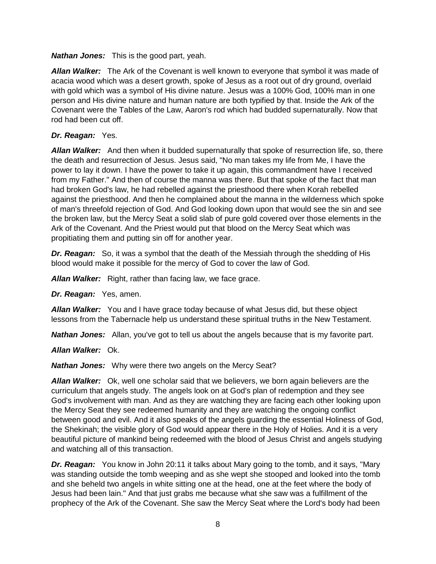*Nathan Jones:* This is the good part, yeah.

*Allan Walker:* The Ark of the Covenant is well known to everyone that symbol it was made of acacia wood which was a desert growth, spoke of Jesus as a root out of dry ground, overlaid with gold which was a symbol of His divine nature. Jesus was a 100% God, 100% man in one person and His divine nature and human nature are both typified by that. Inside the Ark of the Covenant were the Tables of the Law, Aaron's rod which had budded supernaturally. Now that rod had been cut off.

### *Dr. Reagan:* Yes.

*Allan Walker:* And then when it budded supernaturally that spoke of resurrection life, so, there the death and resurrection of Jesus. Jesus said, "No man takes my life from Me, I have the power to lay it down. I have the power to take it up again, this commandment have I received from my Father." And then of course the manna was there. But that spoke of the fact that man had broken God's law, he had rebelled against the priesthood there when Korah rebelled against the priesthood. And then he complained about the manna in the wilderness which spoke of man's threefold rejection of God. And God looking down upon that would see the sin and see the broken law, but the Mercy Seat a solid slab of pure gold covered over those elements in the Ark of the Covenant. And the Priest would put that blood on the Mercy Seat which was propitiating them and putting sin off for another year.

*Dr. Reagan:* So, it was a symbol that the death of the Messiah through the shedding of His blood would make it possible for the mercy of God to cover the law of God.

*Allan Walker:* Right, rather than facing law, we face grace.

*Dr. Reagan:* Yes, amen.

*Allan Walker:* You and I have grace today because of what Jesus did, but these object lessons from the Tabernacle help us understand these spiritual truths in the New Testament.

*Nathan Jones:* Allan, you've got to tell us about the angels because that is my favorite part.

*Allan Walker:* Ok.

*Nathan Jones:* Why were there two angels on the Mercy Seat?

*Allan Walker:* Ok, well one scholar said that we believers, we born again believers are the curriculum that angels study. The angels look on at God's plan of redemption and they see God's involvement with man. And as they are watching they are facing each other looking upon the Mercy Seat they see redeemed humanity and they are watching the ongoing conflict between good and evil. And it also speaks of the angels guarding the essential Holiness of God, the Shekinah; the visible glory of God would appear there in the Holy of Holies. And it is a very beautiful picture of mankind being redeemed with the blood of Jesus Christ and angels studying and watching all of this transaction.

*Dr. Reagan:* You know in John 20:11 it talks about Mary going to the tomb, and it says, "Mary was standing outside the tomb weeping and as she wept she stooped and looked into the tomb and she beheld two angels in white sitting one at the head, one at the feet where the body of Jesus had been lain." And that just grabs me because what she saw was a fulfillment of the prophecy of the Ark of the Covenant. She saw the Mercy Seat where the Lord's body had been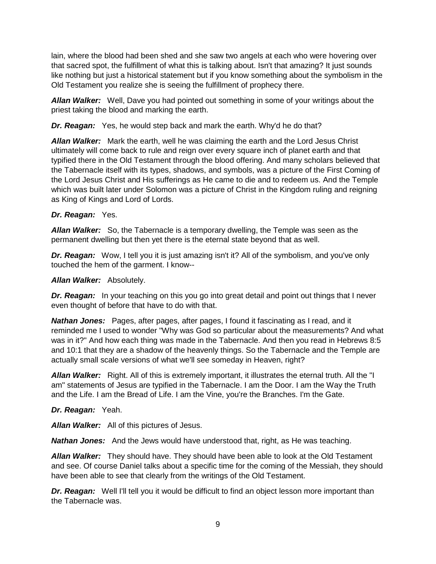lain, where the blood had been shed and she saw two angels at each who were hovering over that sacred spot, the fulfillment of what this is talking about. Isn't that amazing? It just sounds like nothing but just a historical statement but if you know something about the symbolism in the Old Testament you realize she is seeing the fulfillment of prophecy there.

*Allan Walker:* Well, Dave you had pointed out something in some of your writings about the priest taking the blood and marking the earth.

*Dr. Reagan:* Yes, he would step back and mark the earth. Why'd he do that?

*Allan Walker:* Mark the earth, well he was claiming the earth and the Lord Jesus Christ ultimately will come back to rule and reign over every square inch of planet earth and that typified there in the Old Testament through the blood offering. And many scholars believed that the Tabernacle itself with its types, shadows, and symbols, was a picture of the First Coming of the Lord Jesus Christ and His sufferings as He came to die and to redeem us. And the Temple which was built later under Solomon was a picture of Christ in the Kingdom ruling and reigning as King of Kings and Lord of Lords.

### *Dr. Reagan:* Yes.

*Allan Walker:* So, the Tabernacle is a temporary dwelling, the Temple was seen as the permanent dwelling but then yet there is the eternal state beyond that as well.

*Dr. Reagan:* Wow, I tell you it is just amazing isn't it? All of the symbolism, and you've only touched the hem of the garment. I know--

### *Allan Walker:* Absolutely.

**Dr. Reagan:** In your teaching on this you go into great detail and point out things that I never even thought of before that have to do with that.

*Nathan Jones:* Pages, after pages, after pages, I found it fascinating as I read, and it reminded me I used to wonder "Why was God so particular about the measurements? And what was in it?" And how each thing was made in the Tabernacle. And then you read in Hebrews 8:5 and 10:1 that they are a shadow of the heavenly things. So the Tabernacle and the Temple are actually small scale versions of what we'll see someday in Heaven, right?

*Allan Walker:* Right. All of this is extremely important, it illustrates the eternal truth. All the "I am" statements of Jesus are typified in the Tabernacle. I am the Door. I am the Way the Truth and the Life. I am the Bread of Life. I am the Vine, you're the Branches. I'm the Gate.

### *Dr. Reagan:* Yeah.

*Allan Walker:* All of this pictures of Jesus.

*Nathan Jones:* And the Jews would have understood that, right, as He was teaching.

*Allan Walker:* They should have. They should have been able to look at the Old Testament and see. Of course Daniel talks about a specific time for the coming of the Messiah, they should have been able to see that clearly from the writings of the Old Testament.

**Dr. Reagan:** Well I'll tell you it would be difficult to find an object lesson more important than the Tabernacle was.